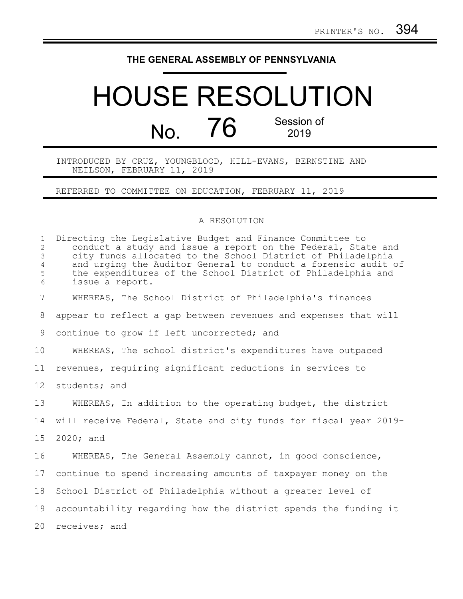## **THE GENERAL ASSEMBLY OF PENNSYLVANIA**

## HOUSE RESOLUTION No. 76 Session of 2019

INTRODUCED BY CRUZ, YOUNGBLOOD, HILL-EVANS, BERNSTINE AND NEILSON, FEBRUARY 11, 2019

REFERRED TO COMMITTEE ON EDUCATION, FEBRUARY 11, 2019

## A RESOLUTION

| $\mathbf{1}$<br>$\overline{2}$<br>3<br>4<br>5<br>6 | Directing the Legislative Budget and Finance Committee to<br>conduct a study and issue a report on the Federal, State and<br>city funds allocated to the School District of Philadelphia<br>and urging the Auditor General to conduct a forensic audit of<br>the expenditures of the School District of Philadelphia and<br>issue a report. |
|----------------------------------------------------|---------------------------------------------------------------------------------------------------------------------------------------------------------------------------------------------------------------------------------------------------------------------------------------------------------------------------------------------|
| 7                                                  | WHEREAS, The School District of Philadelphia's finances                                                                                                                                                                                                                                                                                     |
| 8                                                  | appear to reflect a gap between revenues and expenses that will                                                                                                                                                                                                                                                                             |
| 9                                                  | continue to grow if left uncorrected; and                                                                                                                                                                                                                                                                                                   |
| 10                                                 | WHEREAS, The school district's expenditures have outpaced                                                                                                                                                                                                                                                                                   |
| 11                                                 | revenues, requiring significant reductions in services to                                                                                                                                                                                                                                                                                   |
| 12 <sup>°</sup>                                    | students; and                                                                                                                                                                                                                                                                                                                               |
| 13                                                 | WHEREAS, In addition to the operating budget, the district                                                                                                                                                                                                                                                                                  |
| 14                                                 | will receive Federal, State and city funds for fiscal year 2019-                                                                                                                                                                                                                                                                            |
| 15                                                 | 2020; and                                                                                                                                                                                                                                                                                                                                   |
| 16                                                 | WHEREAS, The General Assembly cannot, in good conscience,                                                                                                                                                                                                                                                                                   |
| 17                                                 | continue to spend increasing amounts of taxpayer money on the                                                                                                                                                                                                                                                                               |
| 18                                                 | School District of Philadelphia without a greater level of                                                                                                                                                                                                                                                                                  |
| 19                                                 | accountability regarding how the district spends the funding it                                                                                                                                                                                                                                                                             |
| 20                                                 | receives; and                                                                                                                                                                                                                                                                                                                               |